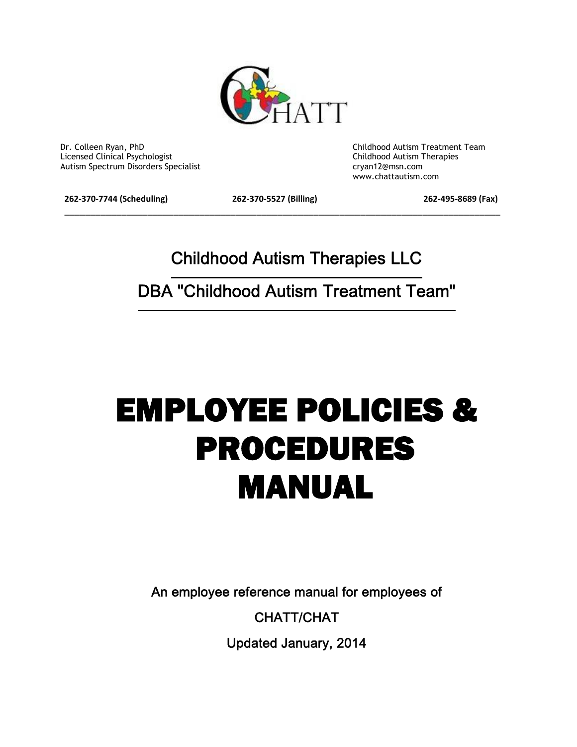

 Dr. Colleen Ryan, PhD Childhood Autism Treatment Team Licensed Clinical Psychologist Childhood Autism Therapies Autism Spectrum Disorders Specialist cryan12@msn.com

www.chattautism.com

**262-370-7744 (Scheduling) 262-370-5527 (Billing) 262-495-8689 (Fax)**

\_\_\_\_\_\_\_\_\_\_\_\_\_\_\_\_\_\_\_\_\_\_\_\_\_\_\_\_\_\_\_\_\_\_\_\_\_\_\_\_\_\_\_\_\_\_\_\_\_\_\_\_\_\_\_\_\_\_\_\_\_\_\_\_\_\_\_\_\_\_\_\_\_\_\_\_\_\_\_\_\_\_\_\_

**Childhood Autism Therapies LLC**

**DBA "Childhood Autism Treatment Team"**

# **EMPLOYEE POLICIES & PROCEDURES MANUAL**

**An employee reference manual for employees of**

**CHATT/CHAT**

**Updated January, 2014**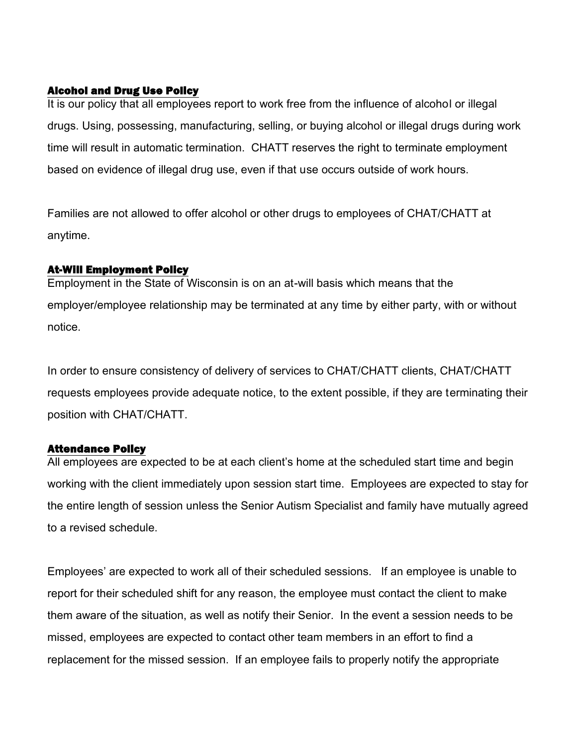# **Alcohol and Drug Use Policy**

It is our policy that all employees report to work free from the influence of alcohol or illegal drugs. Using, possessing, manufacturing, selling, or buying alcohol or illegal drugs during work time will result in automatic termination. CHATT reserves the right to terminate employment based on evidence of illegal drug use, even if that use occurs outside of work hours.

Families are not allowed to offer alcohol or other drugs to employees of CHAT/CHATT at anytime.

# **At-Will Employment Policy**

Employment in the State of Wisconsin is on an at-will basis which means that the employer/employee relationship may be terminated at any time by either party, with or without notice.

In order to ensure consistency of delivery of services to CHAT/CHATT clients, CHAT/CHATT requests employees provide adequate notice, to the extent possible, if they are terminating their position with CHAT/CHATT.

# **Attendance Policy**

All employees are expected to be at each client's home at the scheduled start time and begin working with the client immediately upon session start time. Employees are expected to stay for the entire length of session unless the Senior Autism Specialist and family have mutually agreed to a revised schedule.

Employees' are expected to work all of their scheduled sessions. If an employee is unable to report for their scheduled shift for any reason, the employee must contact the client to make them aware of the situation, as well as notify their Senior. In the event a session needs to be missed, employees are expected to contact other team members in an effort to find a replacement for the missed session. If an employee fails to properly notify the appropriate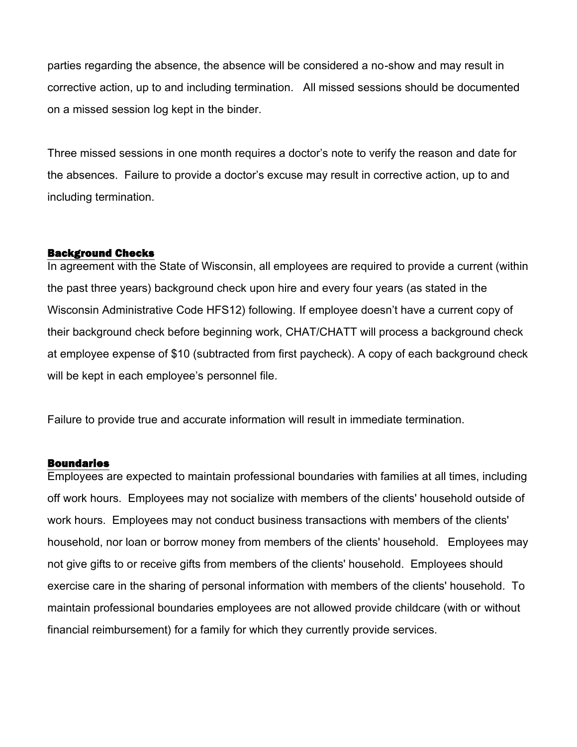parties regarding the absence, the absence will be considered a no-show and may result in corrective action, up to and including termination. All missed sessions should be documented on a missed session log kept in the binder.

Three missed sessions in one month requires a doctor's note to verify the reason and date for the absences. Failure to provide a doctor's excuse may result in corrective action, up to and including termination.

# **Background Checks**

In agreement with the State of Wisconsin, all employees are required to provide a current (within the past three years) background check upon hire and every four years (as stated in the Wisconsin Administrative Code HFS12) following. If employee doesn't have a current copy of their background check before beginning work, CHAT/CHATT will process a background check at employee expense of \$10 (subtracted from first paycheck). A copy of each background check will be kept in each employee's personnel file.

Failure to provide true and accurate information will result in immediate termination.

# **Boundaries**

Employees are expected to maintain professional boundaries with families at all times, including off work hours. Employees may not socialize with members of the clients' household outside of work hours. Employees may not conduct business transactions with members of the clients' household, nor loan or borrow money from members of the clients' household. Employees may not give gifts to or receive gifts from members of the clients' household. Employees should exercise care in the sharing of personal information with members of the clients' household. To maintain professional boundaries employees are not allowed provide childcare (with or without financial reimbursement) for a family for which they currently provide services.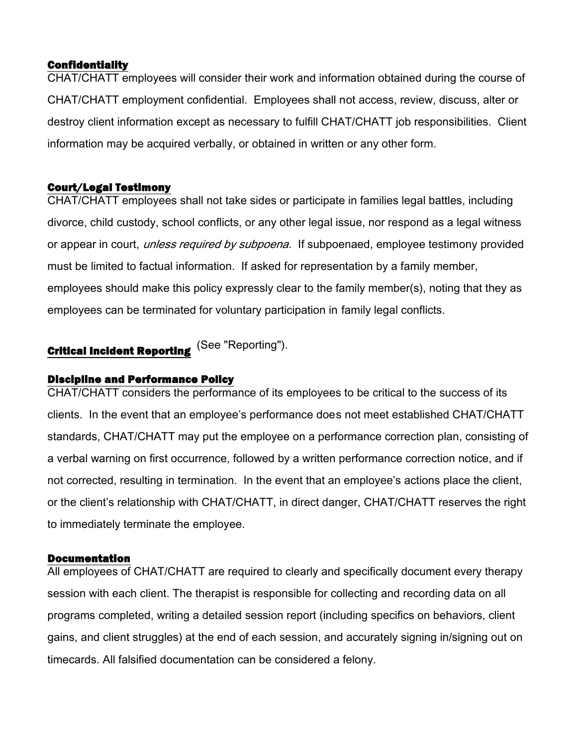# **Confidentiality**

CHAT/CHATT employees will consider their work and information obtained during the course of CHAT/CHATT employment confidential. Employees shall not access, review, discuss, alter or destroy client information except as necessary to fulfill CHAT/CHATT job responsibilities. Client information may be acquired verbally, or obtained in written or any other form.

# **Court/Legal Testimony**

CHAT/CHATT employees shall not take sides or participate in families legal battles, including divorce, child custody, school conflicts, or any other legal issue, nor respond as a legal witness or appear in court, *unless required by subpoena*. If subpoenaed, employee testimony provided must be limited to factual information. If asked for representation by a family member, employees should make this policy expressly clear to the family member(s), noting that they as employees can be terminated for voluntary participation in family legal conflicts.

# **Critical Incident Reporting** (See "Reporting").

# **Discipline and Performance Policy**

CHAT/CHATT considers the performance of its employees to be critical to the success of its clients. In the event that an employee's performance does not meet established CHAT/CHATT standards, CHAT/CHATT may put the employee on a performance correction plan, consisting of a verbal warning on first occurrence, followed by a written performance correction notice, and if not corrected, resulting in termination. In the event that an employee's actions place the client, or the client's relationship with CHAT/CHATT, in direct danger, CHAT/CHATT reserves the right to immediately terminate the employee.

# **Documentation**

All employees of CHAT/CHATT are required to clearly and specifically document every therapy session with each client. The therapist is responsible for collecting and recording data on all programs completed, writing a detailed session report (including specifics on behaviors, client gains, and client struggles) at the end of each session, and accurately signing in/signing out on timecards. All falsified documentation can be considered a felony.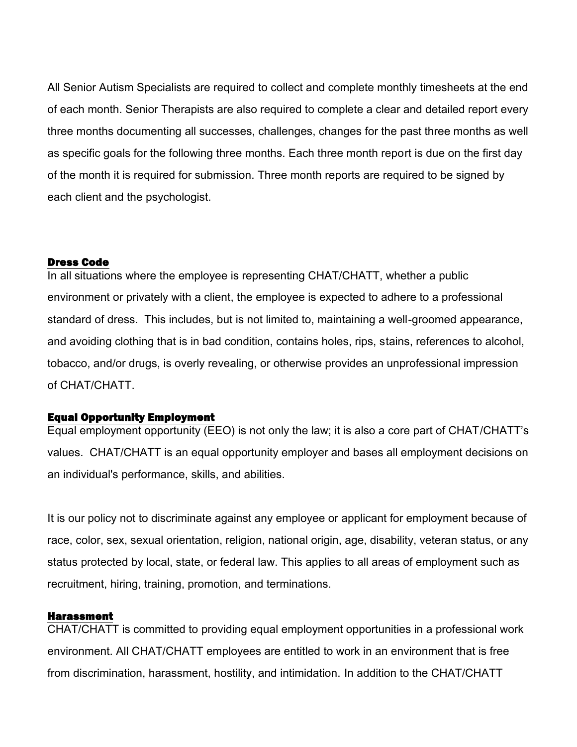All Senior Autism Specialists are required to collect and complete monthly timesheets at the end of each month. Senior Therapists are also required to complete a clear and detailed report every three months documenting all successes, challenges, changes for the past three months as well as specific goals for the following three months. Each three month report is due on the first day of the month it is required for submission. Three month reports are required to be signed by each client and the psychologist.

#### **Dress Code**

In all situations where the employee is representing CHAT/CHATT, whether a public environment or privately with a client, the employee is expected to adhere to a professional standard of dress. This includes, but is not limited to, maintaining a well-groomed appearance, and avoiding clothing that is in bad condition, contains holes, rips, stains, references to alcohol, tobacco, and/or drugs, is overly revealing, or otherwise provides an unprofessional impression of CHAT/CHATT.

#### **Equal Opportunity Employment**

Equal employment opportunity (EEO) is not only the law; it is also a core part of CHAT/CHATT's values. CHAT/CHATT is an equal opportunity employer and bases all employment decisions on an individual's performance, skills, and abilities.

It is our policy not to discriminate against any employee or applicant for employment because of race, color, sex, sexual orientation, religion, national origin, age, disability, veteran status, or any status protected by local, state, or federal law. This applies to all areas of employment such as recruitment, hiring, training, promotion, and terminations.

#### **Harassment**

CHAT/CHATT is committed to providing equal employment opportunities in a professional work environment. All CHAT/CHATT employees are entitled to work in an environment that is free from discrimination, harassment, hostility, and intimidation. In addition to the CHAT/CHATT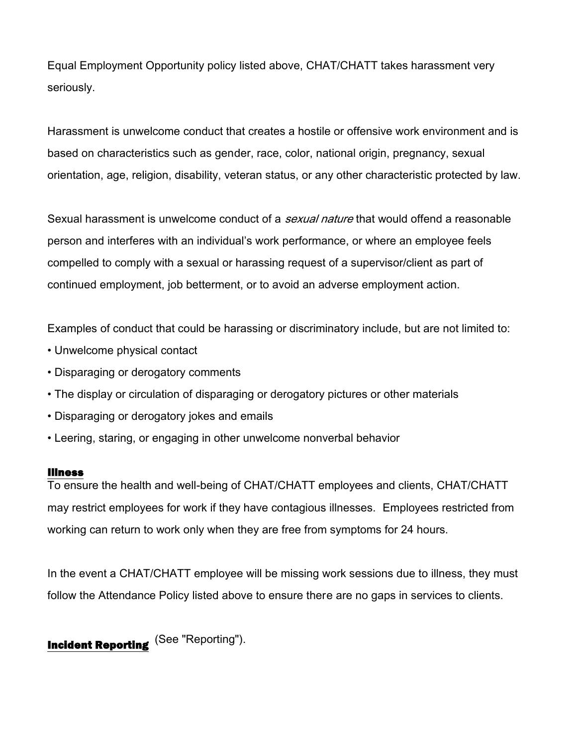Equal Employment Opportunity policy listed above, CHAT/CHATT takes harassment very seriously.

Harassment is unwelcome conduct that creates a hostile or offensive work environment and is based on characteristics such as gender, race, color, national origin, pregnancy, sexual orientation, age, religion, disability, veteran status, or any other characteristic protected by law.

Sexual harassment is unwelcome conduct of a *sexual nature* that would offend a reasonable person and interferes with an individual's work performance, or where an employee feels compelled to comply with a sexual or harassing request of a supervisor/client as part of continued employment, job betterment, or to avoid an adverse employment action.

Examples of conduct that could be harassing or discriminatory include, but are not limited to:

- Unwelcome physical contact
- Disparaging or derogatory comments
- The display or circulation of disparaging or derogatory pictures or other materials
- Disparaging or derogatory jokes and emails
- Leering, staring, or engaging in other unwelcome nonverbal behavior

#### **Illness**

To ensure the health and well-being of CHAT/CHATT employees and clients, CHAT/CHATT may restrict employees for work if they have contagious illnesses. Employees restricted from working can return to work only when they are free from symptoms for 24 hours.

In the event a CHAT/CHATT employee will be missing work sessions due to illness, they must follow the Attendance Policy listed above to ensure there are no gaps in services to clients.

**Incident Reporting** (See "Reporting").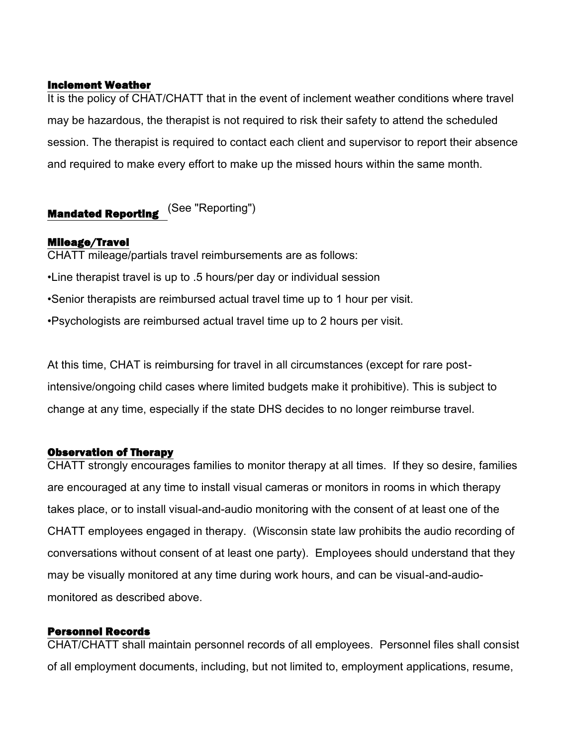# **Inclement Weather**

It is the policy of CHAT/CHATT that in the event of inclement weather conditions where travel may be hazardous, the therapist is not required to risk their safety to attend the scheduled session. The therapist is required to contact each client and supervisor to report their absence and required to make every effort to make up the missed hours within the same month.

# **Mandated Reporting** (See "Reporting")

# **Mileage/Travel**

CHATT mileage/partials travel reimbursements are as follows: •Line therapist travel is up to .5 hours/per day or individual session •Senior therapists are reimbursed actual travel time up to 1 hour per visit. •Psychologists are reimbursed actual travel time up to 2 hours per visit.

At this time, CHAT is reimbursing for travel in all circumstances (except for rare postintensive/ongoing child cases where limited budgets make it prohibitive). This is subject to change at any time, especially if the state DHS decides to no longer reimburse travel.

# **Observation of Therapy**

CHATT strongly encourages families to monitor therapy at all times. If they so desire, families are encouraged at any time to install visual cameras or monitors in rooms in which therapy takes place, or to install visual-and-audio monitoring with the consent of at least one of the CHATT employees engaged in therapy. (Wisconsin state law prohibits the audio recording of conversations without consent of at least one party). Employees should understand that they may be visually monitored at any time during work hours, and can be visual-and-audiomonitored as described above.

# **Personnel Records**

CHAT/CHATT shall maintain personnel records of all employees. Personnel files shall consist of all employment documents, including, but not limited to, employment applications, resume,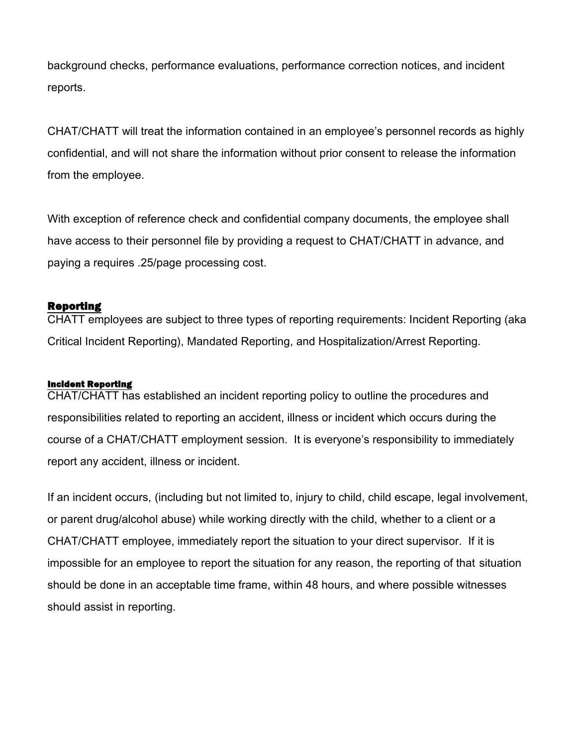background checks, performance evaluations, performance correction notices, and incident reports.

CHAT/CHATT will treat the information contained in an employee's personnel records as highly confidential, and will not share the information without prior consent to release the information from the employee.

With exception of reference check and confidential company documents, the employee shall have access to their personnel file by providing a request to CHAT/CHATT in advance, and paying a requires .25/page processing cost.

# **Reporting**

CHATT employees are subject to three types of reporting requirements: Incident Reporting (aka Critical Incident Reporting), Mandated Reporting, and Hospitalization/Arrest Reporting.

# **Incident Reporting**

CHAT/CHATT has established an incident reporting policy to outline the procedures and responsibilities related to reporting an accident, illness or incident which occurs during the course of a CHAT/CHATT employment session. It is everyone's responsibility to immediately report any accident, illness or incident.

If an incident occurs, (including but not limited to, injury to child, child escape, legal involvement, or parent drug/alcohol abuse) while working directly with the child, whether to a client or a CHAT/CHATT employee, immediately report the situation to your direct supervisor. If it is impossible for an employee to report the situation for any reason, the reporting of that situation should be done in an acceptable time frame, within 48 hours, and where possible witnesses should assist in reporting.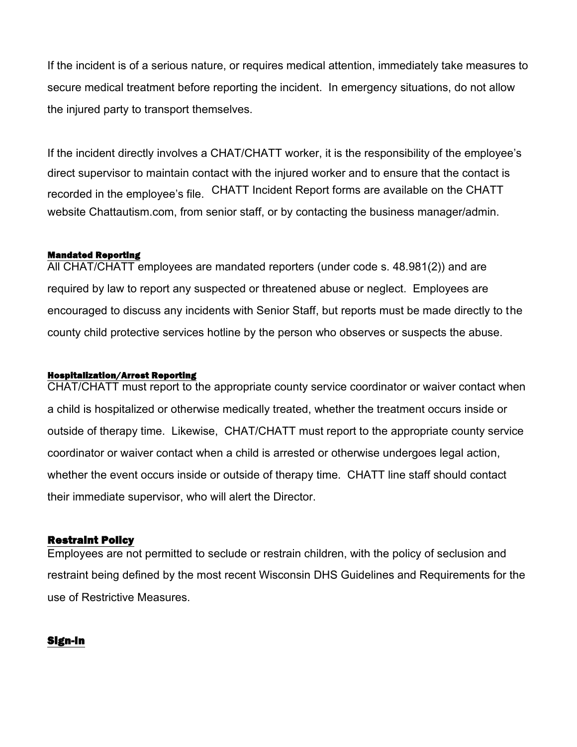If the incident is of a serious nature, or requires medical attention, immediately take measures to secure medical treatment before reporting the incident. In emergency situations, do not allow the injured party to transport themselves.

If the incident directly involves a CHAT/CHATT worker, it is the responsibility of the employee's direct supervisor to maintain contact with the injured worker and to ensure that the contact is recorded in the employee's file. CHATT Incident Report forms are available on the CHATT website Chattautism.com, from senior staff, or by contacting the business manager/admin.

### **Mandated Reporting**

All CHAT/CHATT employees are mandated reporters (under code s. 48.981(2)) and are required by law to report any suspected or threatened abuse or neglect. Employees are encouraged to discuss any incidents with Senior Staff, but reports must be made directly to the county child protective services hotline by the person who observes or suspects the abuse.

#### **Hospitalization/Arrest Reporting**

CHAT/CHATT must report to the appropriate county service coordinator or waiver contact when a child is hospitalized or otherwise medically treated, whether the treatment occurs inside or outside of therapy time. Likewise, CHAT/CHATT must report to the appropriate county service coordinator or waiver contact when a child is arrested or otherwise undergoes legal action, whether the event occurs inside or outside of therapy time. CHATT line staff should contact their immediate supervisor, who will alert the Director.

# **Restraint Policy**

Employees are not permitted to seclude or restrain children, with the policy of seclusion and restraint being defined by the most recent Wisconsin DHS Guidelines and Requirements for the use of Restrictive Measures.

# **Sign-In**